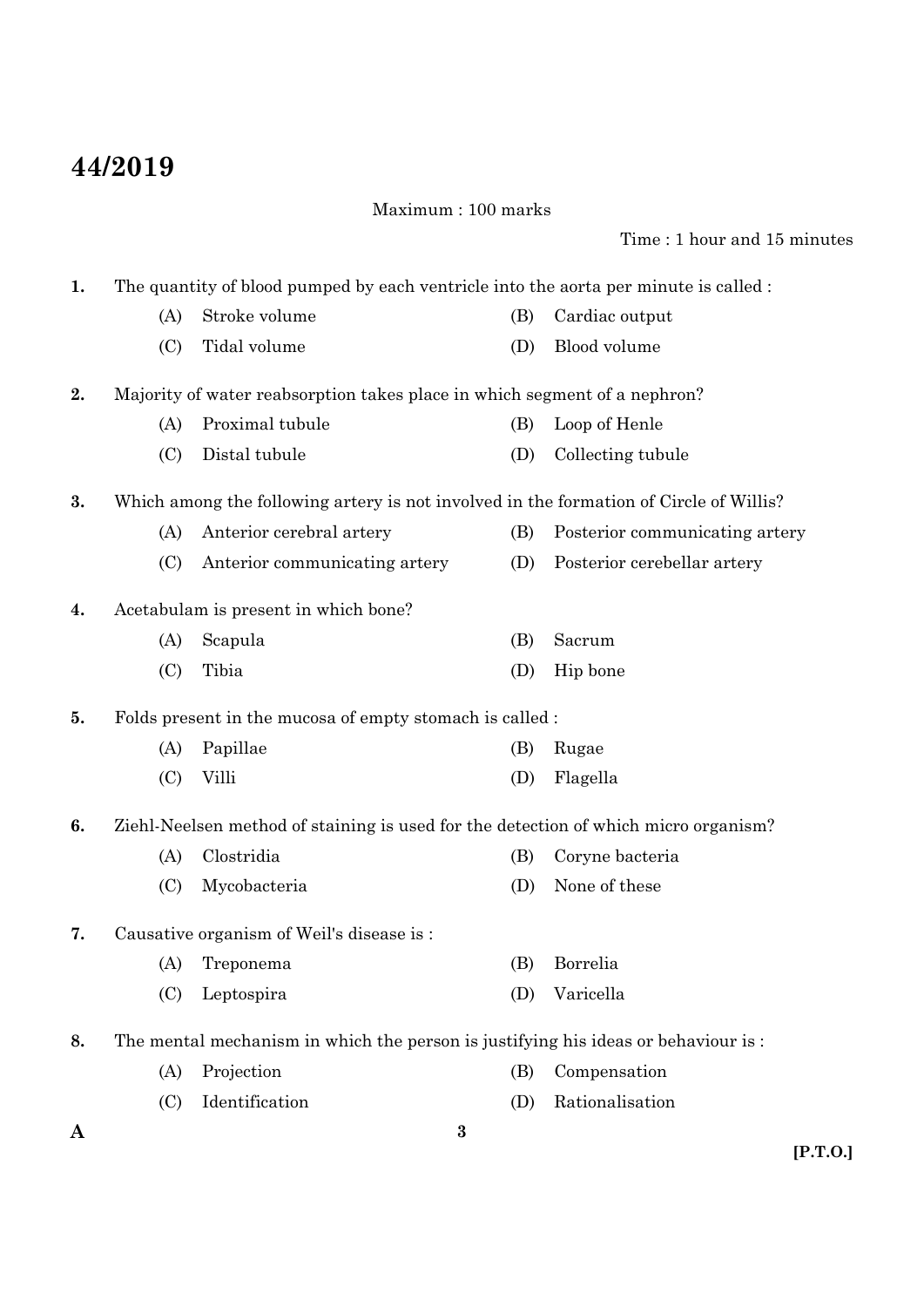# **44/2019**

Maximum : 100 marks

#### Time : 1 hour and 15 minutes

**A 3 1.** The quantity of blood pumped by each ventricle into the aorta per minute is called : (A) Stroke volume (B) Cardiac output (C) Tidal volume (D) Blood volume **2.** Majority of water reabsorption takes place in which segment of a nephron? (A) Proximal tubule (B) Loop of Henle (C) Distal tubule (D) Collecting tubule **3.** Which among the following artery is not involved in the formation of Circle of Willis? (A) Anterior cerebral artery (B) Posterior communicating artery (C) Anterior communicating artery (D) Posterior cerebellar artery **4.** Acetabulam is present in which bone? (A) Scapula (B) Sacrum (C) Tibia (D) Hip bone **5.** Folds present in the mucosa of empty stomach is called : (A) Papillae (B) Rugae (C) Villi (D) Flagella **6.** Ziehl-Neelsen method of staining is used for the detection of which micro organism? (A) Clostridia (B) Coryne bacteria (C) Mycobacteria (D) None of these **7.** Causative organism of Weil's disease is : (A) Treponema (B) Borrelia (C) Leptospira (D) Varicella **8.** The mental mechanism in which the person is justifying his ideas or behaviour is : (A) Projection (B) Compensation (C) Identification (D) Rationalisation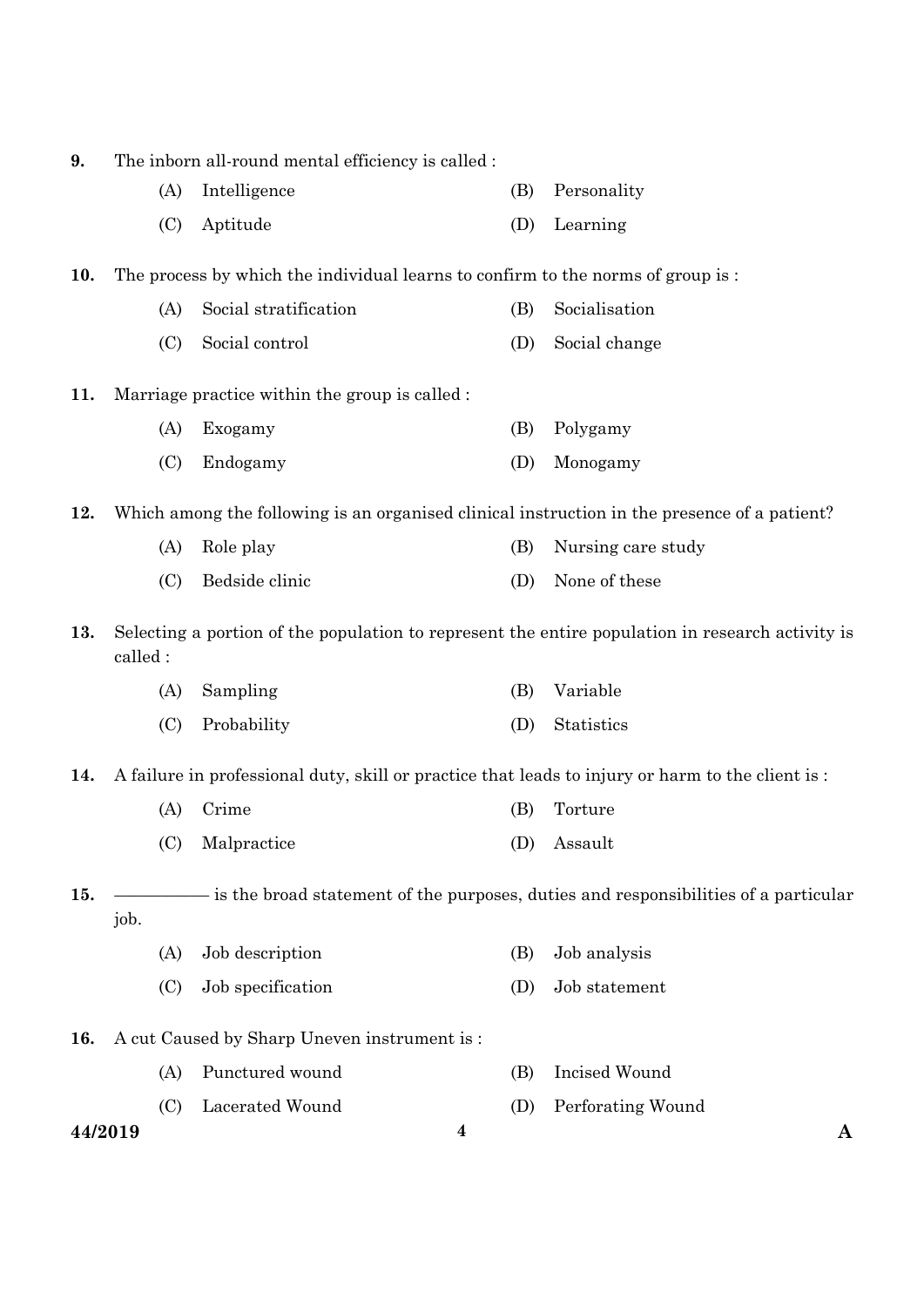| 9.      | The inborn all-round mental efficiency is called : |                                                                                 |                  |                                                                                                  |
|---------|----------------------------------------------------|---------------------------------------------------------------------------------|------------------|--------------------------------------------------------------------------------------------------|
|         | (A)                                                | Intelligence                                                                    | (B)              | Personality                                                                                      |
|         | (C)                                                | Aptitude                                                                        | (D)              | Learning                                                                                         |
| 10.     |                                                    | The process by which the individual learns to confirm to the norms of group is: |                  |                                                                                                  |
|         | (A)                                                | Social stratification                                                           | (B)              | Socialisation                                                                                    |
|         | (C)                                                | Social control                                                                  | (D)              | Social change                                                                                    |
| 11.     |                                                    | Marriage practice within the group is called :                                  |                  |                                                                                                  |
|         | (A)                                                | Exogamy                                                                         | (B)              | Polygamy                                                                                         |
|         | (C)                                                | Endogamy                                                                        | (D)              | Monogamy                                                                                         |
| 12.     |                                                    |                                                                                 |                  | Which among the following is an organised clinical instruction in the presence of a patient?     |
|         | (A)                                                | Role play                                                                       | (B)              | Nursing care study                                                                               |
|         | (C)                                                | Bedside clinic                                                                  | (D)              | None of these                                                                                    |
| 13.     | called:                                            |                                                                                 |                  | Selecting a portion of the population to represent the entire population in research activity is |
|         | (A)                                                | Sampling                                                                        | (B)              | Variable                                                                                         |
|         | (C)                                                | Probability                                                                     | (D)              | Statistics                                                                                       |
| 14.     |                                                    |                                                                                 |                  | A failure in professional duty, skill or practice that leads to injury or harm to the client is: |
|         | (A)                                                | Crime                                                                           | (B)              | Torture                                                                                          |
|         |                                                    | (C) Malpractice                                                                 |                  | (D) Assault                                                                                      |
| 15.     |                                                    |                                                                                 |                  | - is the broad statement of the purposes, duties and responsibilities of a particular            |
|         | job.                                               |                                                                                 |                  |                                                                                                  |
|         | (A)                                                | Job description                                                                 | (B)              | Job analysis                                                                                     |
|         | (C)                                                | Job specification                                                               | (D)              | Job statement                                                                                    |
| 16.     |                                                    | A cut Caused by Sharp Uneven instrument is:                                     |                  |                                                                                                  |
|         | (A)                                                | Punctured wound                                                                 | (B)              | Incised Wound                                                                                    |
|         | (C)                                                | Lacerated Wound                                                                 | (D)              | Perforating Wound                                                                                |
| 44/2019 |                                                    |                                                                                 | $\boldsymbol{4}$ | A                                                                                                |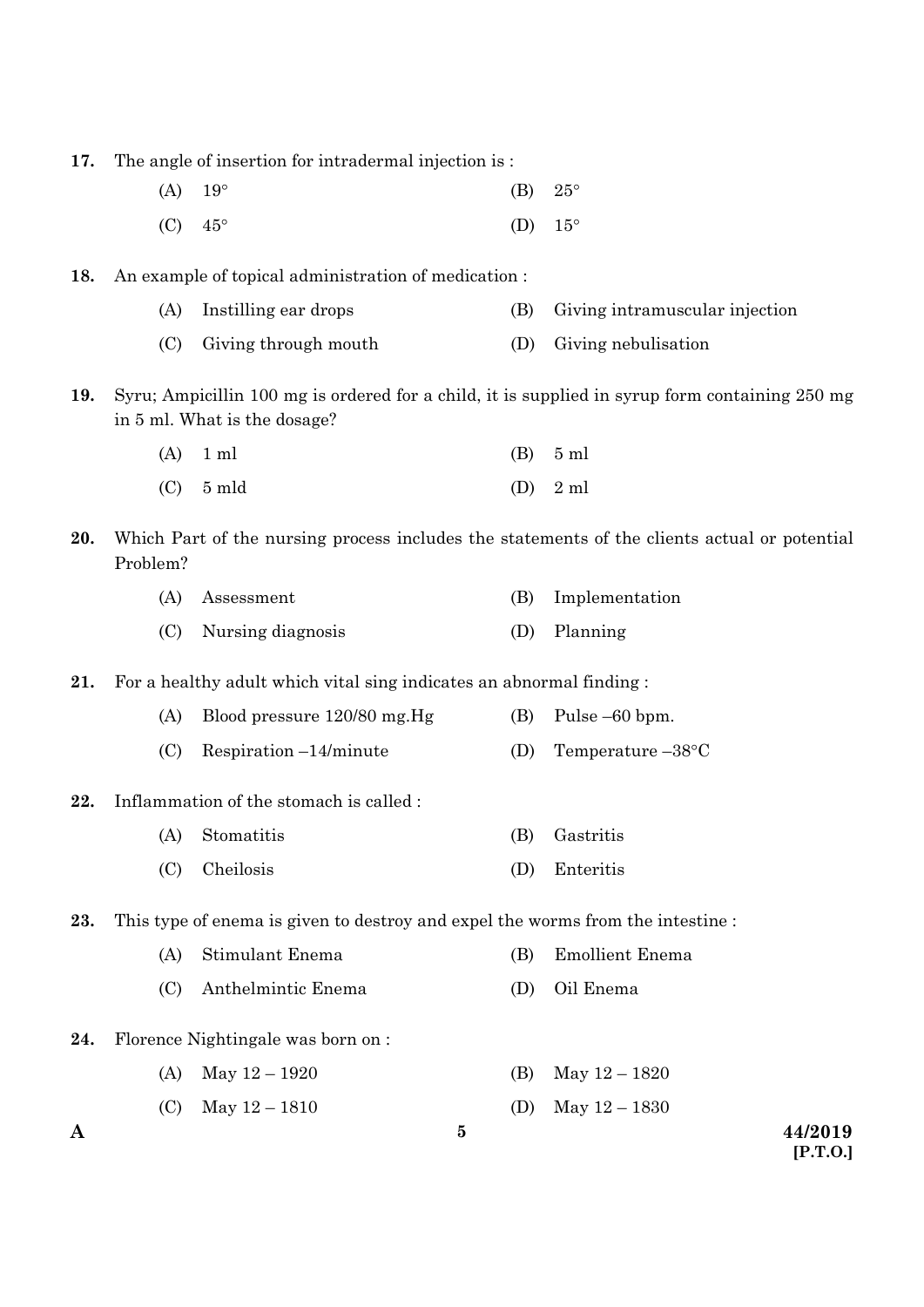**17.** The angle of insertion for intradermal injection is :

- (A)  $19^{\circ}$  (B)  $25^{\circ}$
- (C)  $45^{\circ}$  (D)  $15^{\circ}$

**18.** An example of topical administration of medication :

- (A) Instilling ear drops (B) Giving intramuscular injection
- (C) Giving through mouth (D) Giving nebulisation

**19.** Syru; Ampicillin 100 mg is ordered for a child, it is supplied in syrup form containing 250 mg in 5 ml. What is the dosage?

| $(A)$ 1 ml  | $(B)$ 5 ml |
|-------------|------------|
| $(C)$ 5 mld | $(D)$ 2 ml |

**20.** Which Part of the nursing process includes the statements of the clients actual or potential Problem?

| (A) Assessment        | (B) Implementation |
|-----------------------|--------------------|
| (C) Nursing diagnosis | (D) Planning       |

**21.** For a healthy adult which vital sing indicates an abnormal finding :

- (A) Blood pressure 120/80 mg.Hg (B) Pulse –60 bpm.
- (C) Respiration –14/minute (D) Temperature –38 $\textdegree$ C
- **22.** Inflammation of the stomach is called :
	- (A) Stomatitis (B) Gastritis
	- (C) Cheilosis (D) Enteritis

**23.** This type of enema is given to destroy and expel the worms from the intestine :

- (A) Stimulant Enema (B) Emollient Enema
- (C) Anthelmintic Enema (D) Oil Enema
- **24.** Florence Nightingale was born on :
	- (A) May  $12 1920$  (B) May  $12 1820$
	- (C) May  $12 1810$  (D) May  $12 1830$

**5**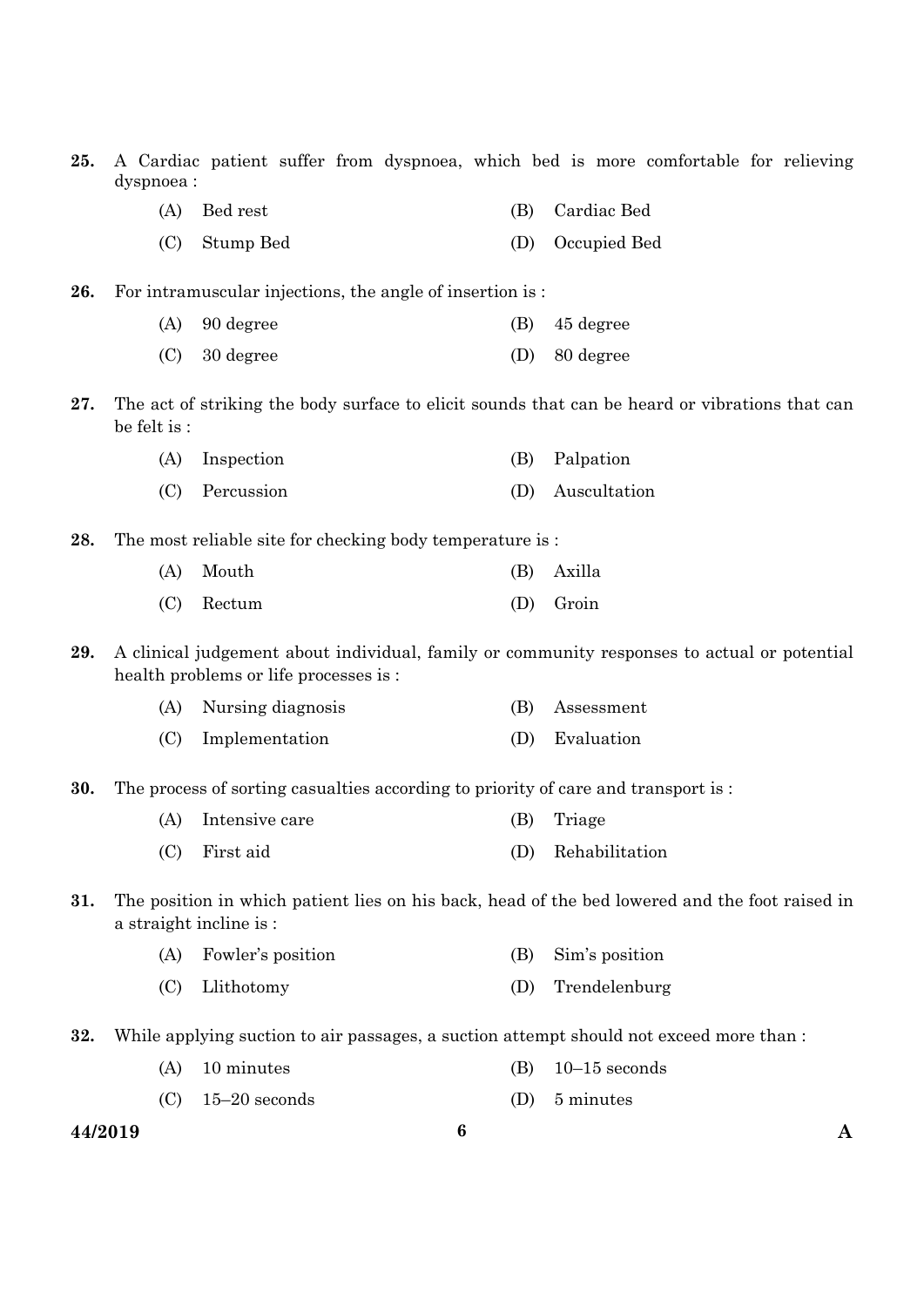|     | 44/2019      | $\boldsymbol{6}$                                                                       |     | Α                                                                                              |
|-----|--------------|----------------------------------------------------------------------------------------|-----|------------------------------------------------------------------------------------------------|
|     | (C)          | $15-20$ seconds                                                                        | (D) | 5 minutes                                                                                      |
|     | (A)          | 10 minutes                                                                             | (B) | $10-15$ seconds                                                                                |
| 32. |              | While applying suction to air passages, a suction attempt should not exceed more than: |     |                                                                                                |
|     | (C)          | Llithotomy                                                                             | (D) | Trendelenburg                                                                                  |
|     | (A)          | Fowler's position                                                                      | (B) | Sim's position                                                                                 |
|     |              | a straight incline is :                                                                |     |                                                                                                |
| 31. |              |                                                                                        |     | The position in which patient lies on his back, head of the bed lowered and the foot raised in |
|     | (C)          | First aid                                                                              | (D) | Rehabilitation                                                                                 |
|     | (A)          | Intensive care                                                                         | (B) | Triage                                                                                         |
| 30. |              | The process of sorting casualties according to priority of care and transport is :     |     |                                                                                                |
|     | (C)          | Implementation                                                                         | (D) | Evaluation                                                                                     |
|     | (A)          | Nursing diagnosis                                                                      | (B) | Assessment                                                                                     |
| 29. |              | health problems or life processes is:                                                  |     | A clinical judgement about individual, family or community responses to actual or potential    |
|     | (C)          | Rectum                                                                                 | (D) | Groin                                                                                          |
|     | (A)          | Mouth                                                                                  | (B) | Axilla                                                                                         |
| 28. |              | The most reliable site for checking body temperature is:                               |     |                                                                                                |
|     | (C)          | Percussion                                                                             | (D) | Auscultation                                                                                   |
|     | (A)          | Inspection                                                                             | (B) | Palpation                                                                                      |
| 27. | be felt is : |                                                                                        |     | The act of striking the body surface to elicit sounds that can be heard or vibrations that can |
|     | (C)          | 30 degree                                                                              | (D) | 80 degree                                                                                      |
|     | (A)          | 90 degree                                                                              | (B) | 45 degree                                                                                      |
| 26. |              | For intramuscular injections, the angle of insertion is:                               |     |                                                                                                |
|     | (C)          | Stump Bed                                                                              | (D) | Occupied Bed                                                                                   |
|     | (A)          | Bed rest                                                                               | (B) | Cardiac Bed                                                                                    |
|     | dyspnoea:    |                                                                                        |     |                                                                                                |

**25.** A Cardiac patient suffer from dyspnoea, which bed is more comfortable for relieving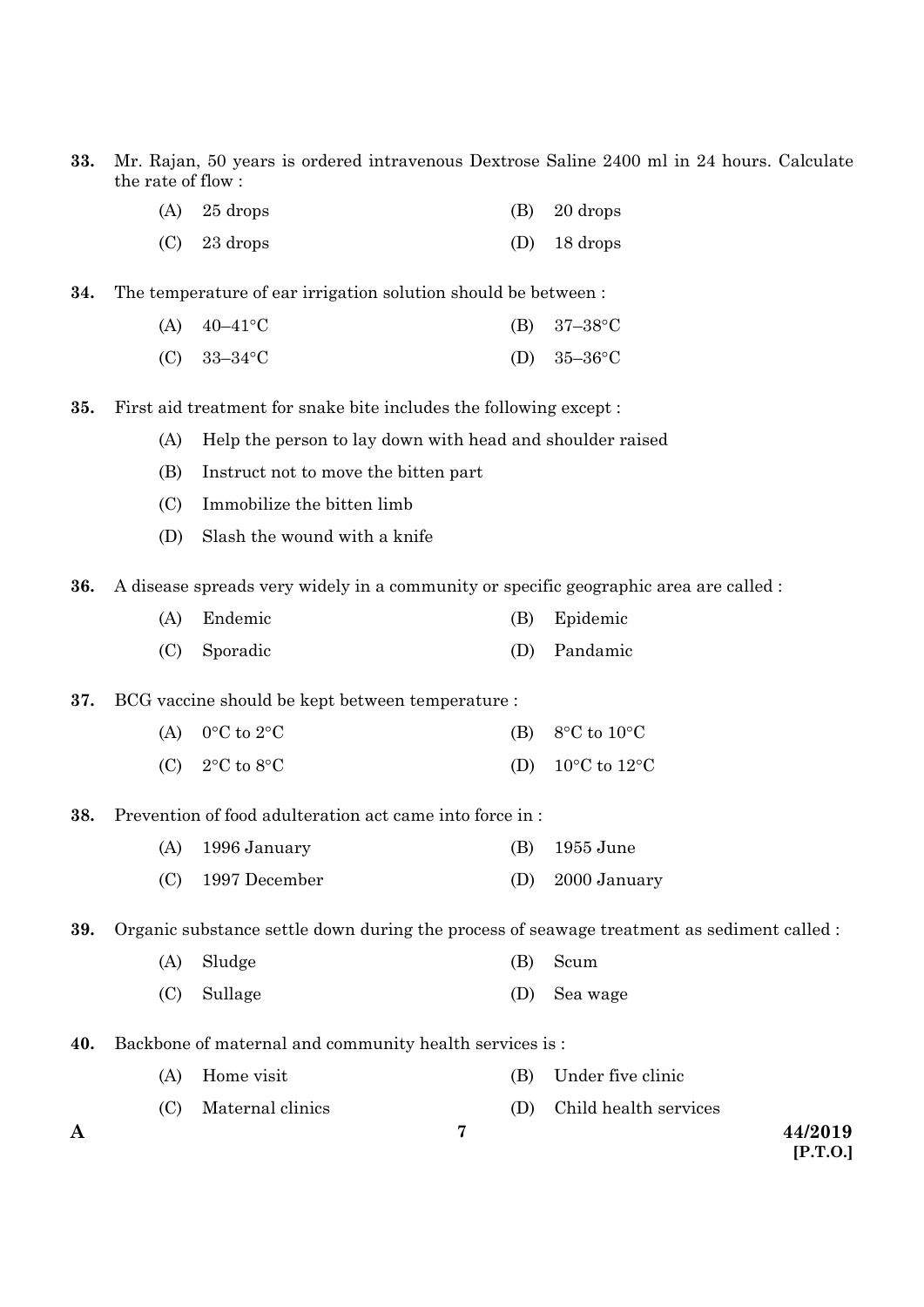- **33.** Mr. Rajan, 50 years is ordered intravenous Dextrose Saline 2400 ml in 24 hours. Calculate the rate of flow :
	- $(A)$  25 drops (B) 20 drops
	- (C) 23 drops (D) 18 drops
- **34.** The temperature of ear irrigation solution should be between :
	- (A)  $40-41^{\circ}\text{C}$  (B)  $37-38^{\circ}\text{C}$
	- (C)  $33-34^{\circ}$ C (D)  $35-36^{\circ}$ C
- **35.** First aid treatment for snake bite includes the following except :
	- (A) Help the person to lay down with head and shoulder raised
	- (B) Instruct not to move the bitten part
	- (C) Immobilize the bitten limb
	- (D) Slash the wound with a knife
- **36.** A disease spreads very widely in a community or specific geographic area are called :
	- (A) Endemic (B) Epidemic
	- (C) Sporadic (D) Pandamic
- **37.** BCG vaccine should be kept between temperature :
	- (A)  $0^{\circ}$ C to  $2^{\circ}$ C (B)  $8^{\circ}$ C to  $10^{\circ}$ C
	- (C)  $2^{\circ}$ C to  $8^{\circ}$ C (D)  $10^{\circ}$ C to  $12^{\circ}$ C
- **38.** Prevention of food adulteration act came into force in :
	- (A) 1996 January (B) 1955 June (C) 1997 December (D) 2000 January

**39.** Organic substance settle down during the process of seawage treatment as sediment called :

**7**

- (A) Sludge (B) Scum
- (C) Sullage (D) Sea wage
- **40.** Backbone of maternal and community health services is :
	- (A) Home visit (B) Under five clinic
	- (C) Maternal clinics (D) Child health services
-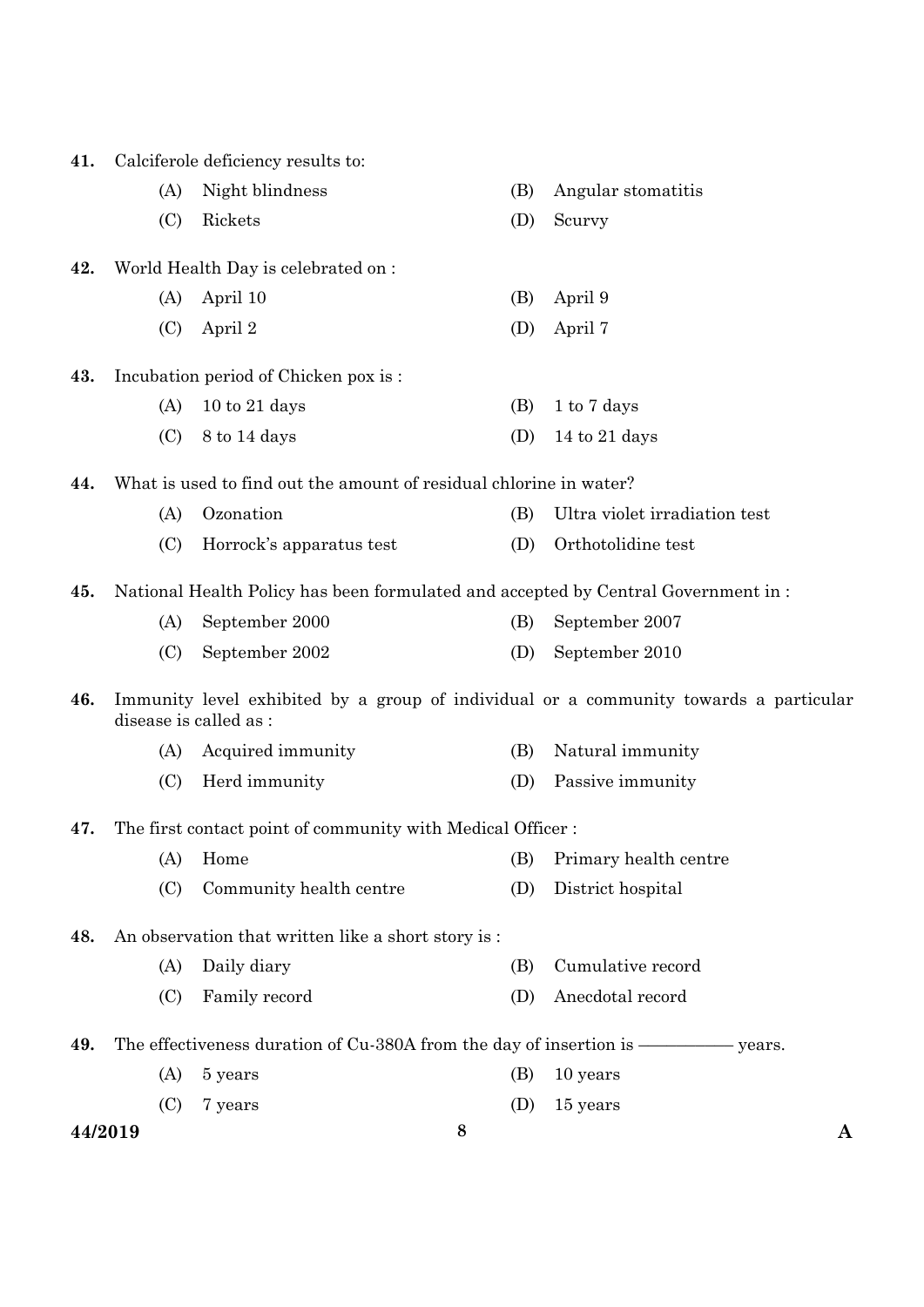| 41.     |     | Calciferole deficiency results to:                                                |     |                                                                                       |
|---------|-----|-----------------------------------------------------------------------------------|-----|---------------------------------------------------------------------------------------|
|         | (A) | Night blindness                                                                   | (B) | Angular stomatitis                                                                    |
|         | (C) | Rickets                                                                           | (D) | Scurvy                                                                                |
| 42.     |     | World Health Day is celebrated on :                                               |     |                                                                                       |
|         | (A) | April 10                                                                          | (B) | April 9                                                                               |
|         | (C) | April 2                                                                           | (D) | April 7                                                                               |
| 43.     |     | Incubation period of Chicken pox is:                                              |     |                                                                                       |
|         | (A) | $10$ to $21$ days                                                                 | (B) | 1 to 7 days                                                                           |
|         | (C) | 8 to 14 days                                                                      | (D) | 14 to 21 days                                                                         |
| 44.     |     | What is used to find out the amount of residual chlorine in water?                |     |                                                                                       |
|         | (A) | Ozonation                                                                         | (B) | Ultra violet irradiation test                                                         |
|         | (C) | Horrock's apparatus test                                                          | (D) | Orthotolidine test                                                                    |
| 45.     |     | National Health Policy has been formulated and accepted by Central Government in: |     |                                                                                       |
|         | (A) | September 2000                                                                    | (B) | September 2007                                                                        |
|         | (C) | September 2002                                                                    | (D) | September 2010                                                                        |
| 46.     |     | disease is called as:                                                             |     | Immunity level exhibited by a group of individual or a community towards a particular |
|         | (A) | Acquired immunity                                                                 | (B) | Natural immunity                                                                      |
|         | (C) | Herd immunity                                                                     | (D) | Passive immunity                                                                      |
| 47.     |     | The first contact point of community with Medical Officer :                       |     |                                                                                       |
|         | (A) | Home                                                                              | (B) | Primary health centre                                                                 |
|         | (C) | Community health centre                                                           | (D) | District hospital                                                                     |
| 48.     |     | An observation that written like a short story is:                                |     |                                                                                       |
|         | (A) | Daily diary                                                                       | (B) | Cumulative record                                                                     |
|         | (C) | Family record                                                                     | (D) | Anecdotal record                                                                      |
| 49.     |     |                                                                                   |     |                                                                                       |
|         | (A) | 5 years                                                                           | (B) | 10 years                                                                              |
|         | (C) | 7 years                                                                           | (D) | 15 years                                                                              |
| 44/2019 |     |                                                                                   | 8   | A                                                                                     |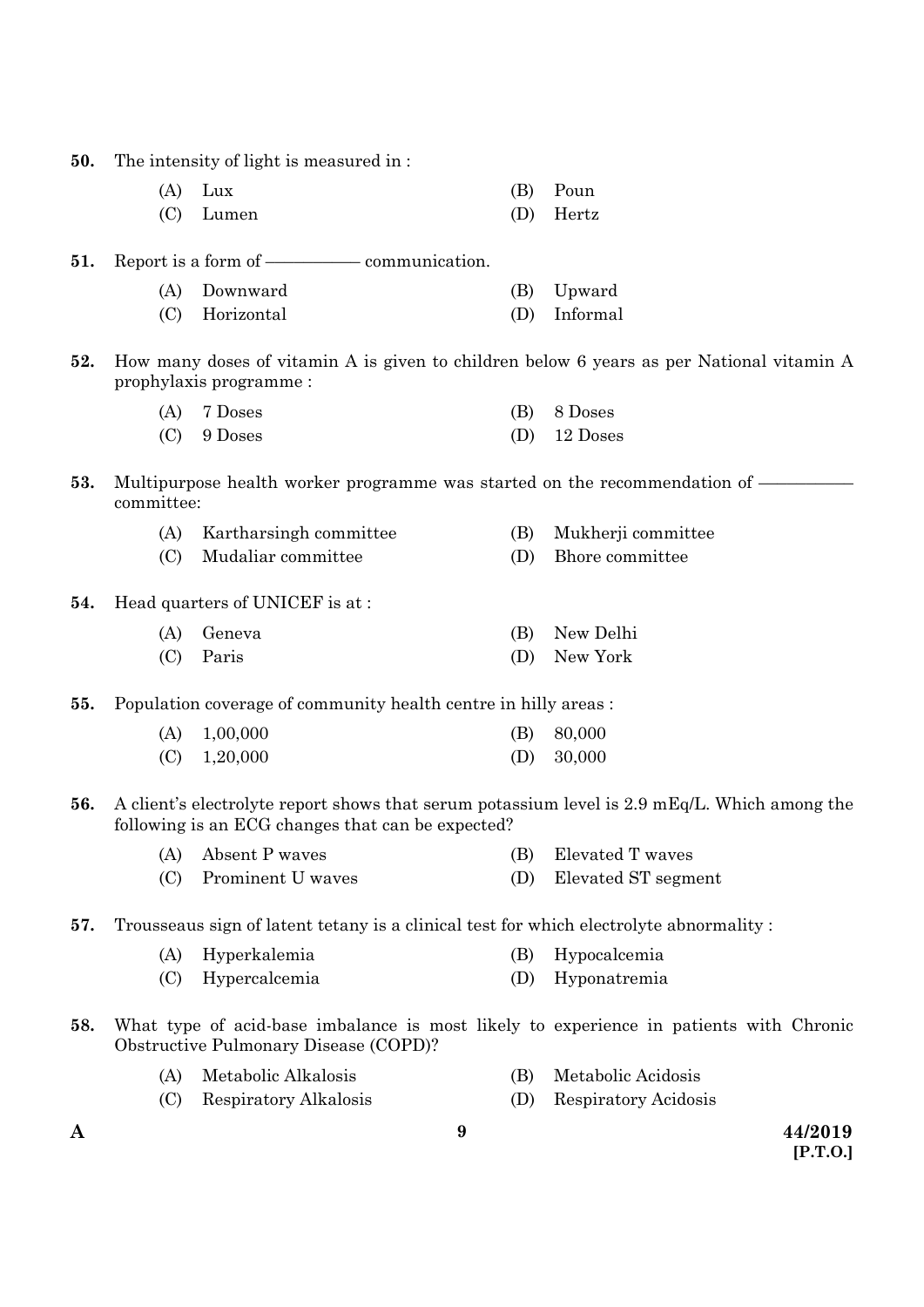**50.** The intensity of light is measured in :

| $(A)$ Lux | (B) Poun  |
|-----------|-----------|
| (C) Lumen | (D) Hertz |

### **51.** Report is a form of –––––––––– communication.

| (A) Downward   | (B) Upward   |
|----------------|--------------|
| (C) Horizontal | (D) Informal |

**52.** How many doses of vitamin A is given to children below 6 years as per National vitamin A prophylaxis programme :

| $(A)$ 7 Doses | (B) 8 Doses  |
|---------------|--------------|
| $(C)$ 9 Doses | (D) 12 Doses |

#### **53.** Multipurpose health worker programme was started on the recommendation of  $\overline{\phantom{a}}$ committee:

| (A) | Kartharsingh committee |  | (B) Mukherji committee |
|-----|------------------------|--|------------------------|
|-----|------------------------|--|------------------------|

- (C) Mudaliar committee (D) Bhore committee
- **54.** Head quarters of UNICEF is at :

| (A) Geneva | (B) New Delhi |
|------------|---------------|
| (C) Paris  | (D) New York  |

**55.** Population coverage of community health centre in hilly areas :

| $(A)$ 1,00,000 | $(B)$ 80,000 |
|----------------|--------------|
| $(C)$ 1,20,000 | (D) $30,000$ |

- **56.** A client's electrolyte report shows that serum potassium level is 2.9 mEq/L. Which among the following is an ECG changes that can be expected?
	- (A) Absent P waves (B) Elevated T waves
	- (C) Prominent U waves (D) Elevated ST segment
- **57.** Trousseaus sign of latent tetany is a clinical test for which electrolyte abnormality :
	- (A) Hyperkalemia (B) Hypocalcemia
	- (C) Hypercalcemia (D) Hyponatremia
- **58.** What type of acid-base imbalance is most likely to experience in patients with Chronic Obstructive Pulmonary Disease (COPD)?
	- (A) Metabolic Alkalosis (B) Metabolic Acidosis
	- (C) Respiratory Alkalosis (D) Respiratory Acidosis
- 

**A 44/2019 [P.T.O.]**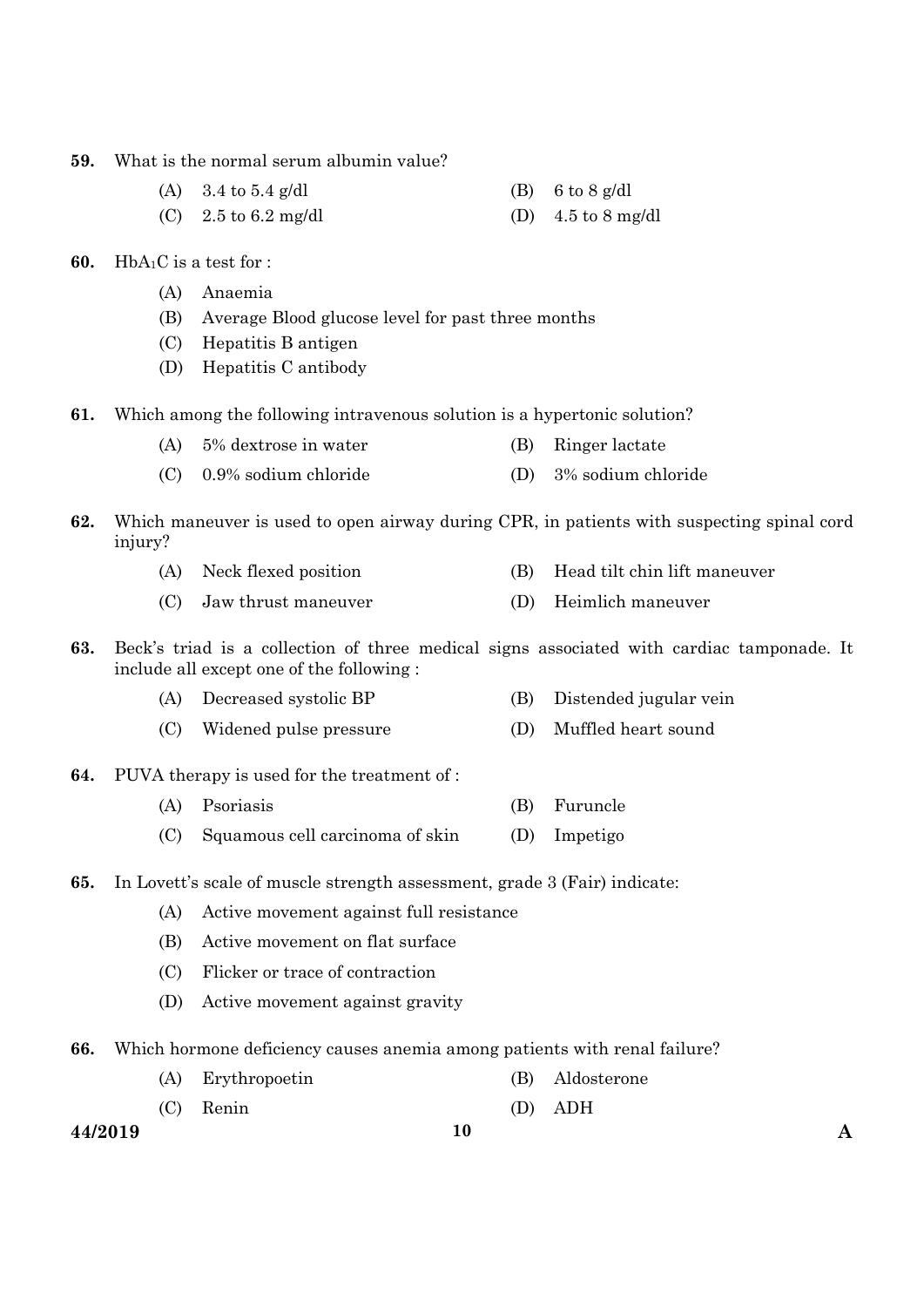- **59.** What is the normal serum albumin value?
	- (A) 3.4 to 5.4 g/dl (B) 6 to 8 g/dl (C)  $2.5 \text{ to } 6.2 \text{ mg/dl}$  (D)  $4.5 \text{ to } 8 \text{ mg/dl}$
- **60.** HbA1C is a test for :
	- (A) Anaemia
	- (B) Average Blood glucose level for past three months
	- (C) Hepatitis B antigen
	- (D) Hepatitis C antibody
- **61.** Which among the following intravenous solution is a hypertonic solution?
	- (A) 5% dextrose in water (B) Ringer lactate
	- (C) 0.9% sodium chloride (D) 3% sodium chloride
- **62.** Which maneuver is used to open airway during CPR, in patients with suspecting spinal cord injury?
	- (A) Neck flexed position (B) Head tilt chin lift maneuver
	- (C) Jaw thrust maneuver (D) Heimlich maneuver
- **63.** Beck's triad is a collection of three medical signs associated with cardiac tamponade. It include all except one of the following :
	- (A) Decreased systolic BP (B) Distended jugular vein
	- (C) Widened pulse pressure (D) Muffled heart sound
- **64.** PUVA therapy is used for the treatment of :
	- (A) Psoriasis (B) Furuncle
	- (C) Squamous cell carcinoma of skin (D) Impetigo
- **65.** In Lovett's scale of muscle strength assessment, grade 3 (Fair) indicate:
	- (A) Active movement against full resistance
	- (B) Active movement on flat surface
	- (C) Flicker or trace of contraction
	- (D) Active movement against gravity
- **66.** Which hormone deficiency causes anemia among patients with renal failure?
	- (A) Erythropoetin (B) Aldosterone
	- (C) Renin (D) ADH

**44/2019 10 A**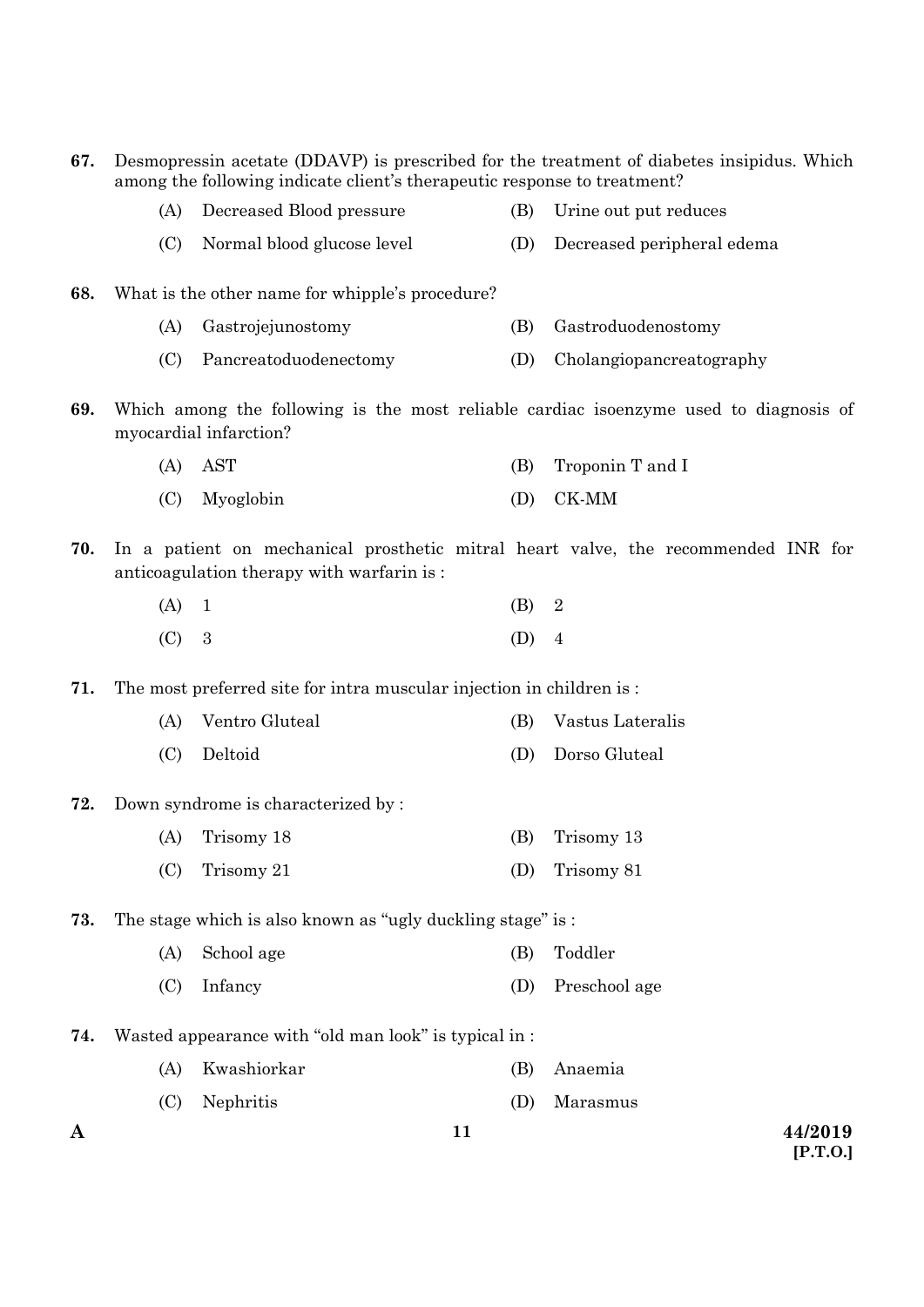| 67. |     | Desmopressin acetate (DDAVP) is prescribed for the treatment of diabetes insipidus. Which<br>among the following indicate client's therapeutic response to treatment? |     |                                                                                       |
|-----|-----|-----------------------------------------------------------------------------------------------------------------------------------------------------------------------|-----|---------------------------------------------------------------------------------------|
|     | (A) | Decreased Blood pressure                                                                                                                                              | (B) | Urine out put reduces                                                                 |
|     | (C) | Normal blood glucose level                                                                                                                                            | (D) | Decreased peripheral edema                                                            |
| 68. |     | What is the other name for whipple's procedure?                                                                                                                       |     |                                                                                       |
|     | (A) | Gastrojejunostomy                                                                                                                                                     | (B) | Gastroduodenostomy                                                                    |
|     | (C) | Pancreatoduodenectomy                                                                                                                                                 | (D) | Cholangiopancreatography                                                              |
| 69. |     | myocardial infarction?                                                                                                                                                |     | Which among the following is the most reliable cardiac isoenzyme used to diagnosis of |
|     | (A) | <b>AST</b>                                                                                                                                                            | (B) | Troponin T and I                                                                      |
|     | (C) | Myoglobin                                                                                                                                                             | (D) | CK-MM                                                                                 |
| 70. |     | anticoagulation therapy with warfarin is:                                                                                                                             |     | In a patient on mechanical prosthetic mitral heart valve, the recommended INR for     |
|     | (A) | $\mathbf{1}$                                                                                                                                                          | (B) | $\overline{2}$                                                                        |
|     | (C) | 3                                                                                                                                                                     | (D) | $\overline{4}$                                                                        |
| 71. |     | The most preferred site for intra muscular injection in children is :                                                                                                 |     |                                                                                       |
|     | (A) | Ventro Gluteal                                                                                                                                                        | (B) | Vastus Lateralis                                                                      |
|     | (C) | Deltoid                                                                                                                                                               | (D) | Dorso Gluteal                                                                         |
| 72. |     | Down syndrome is characterized by:                                                                                                                                    |     |                                                                                       |
|     | (A) | Trisomy 18                                                                                                                                                            | (B) | Trisomy 13                                                                            |
|     | (C) | Trisomy 21                                                                                                                                                            | (D) | Trisomy 81                                                                            |
| 73. |     | The stage which is also known as "ugly duckling stage" is :                                                                                                           |     |                                                                                       |
|     | (A) | School age                                                                                                                                                            | (B) | Toddler                                                                               |
|     | (C) | Infancy                                                                                                                                                               | (D) | Preschool age                                                                         |
| 74. |     | Wasted appearance with "old man look" is typical in :                                                                                                                 |     |                                                                                       |
|     | (A) | Kwashiorkar                                                                                                                                                           | (B) | Anaemia                                                                               |
|     | (C) | Nephritis                                                                                                                                                             | (D) | Marasmus                                                                              |
| A   |     | 11                                                                                                                                                                    |     | 44/2019<br>[P.T.O.]                                                                   |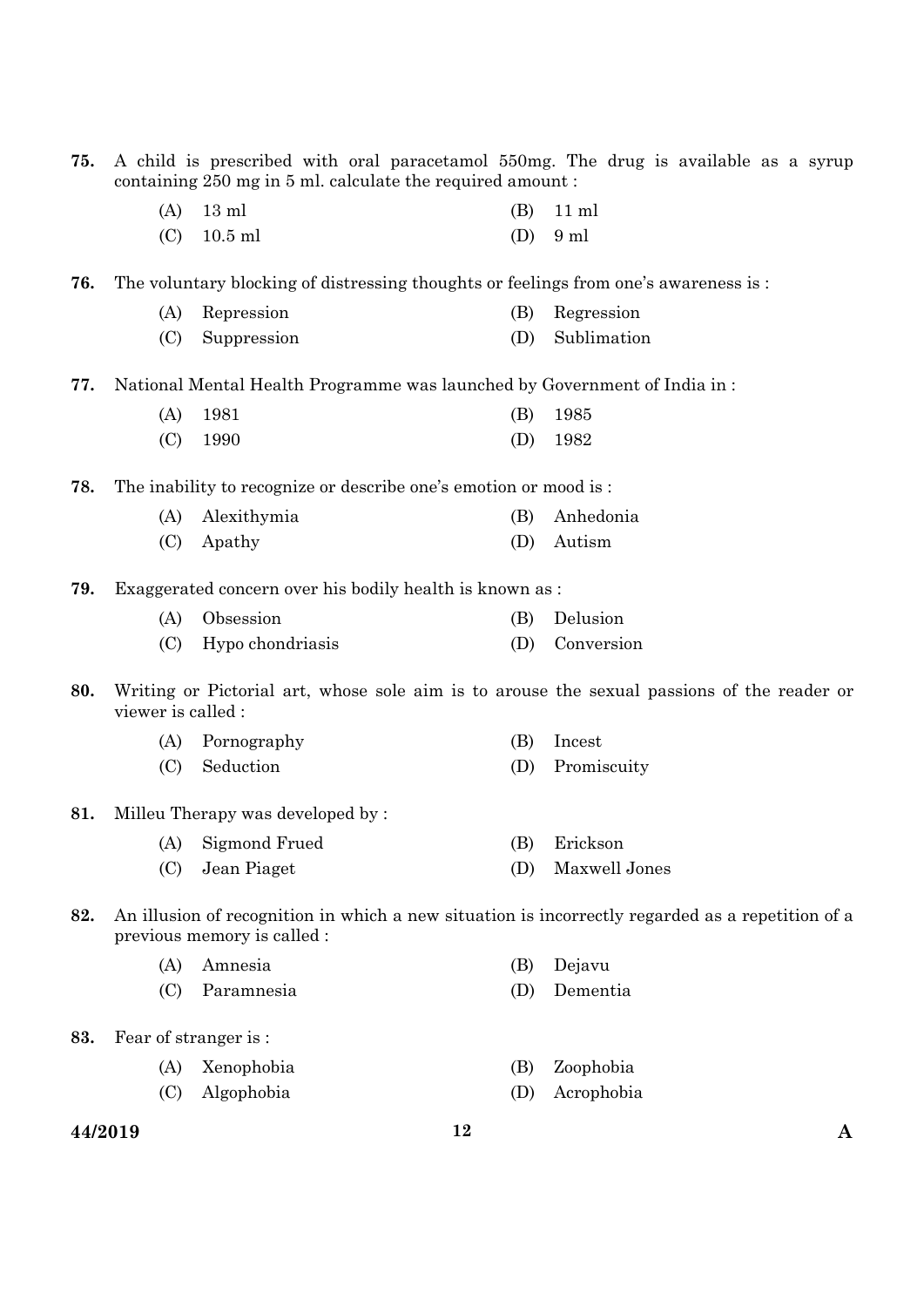| 75. | A child is prescribed with oral paracetamol 550mg. The drug is available as a syrup<br>containing 250 mg in 5 ml. calculate the required amount: |                                                                  |     |                 |  |  |  |
|-----|--------------------------------------------------------------------------------------------------------------------------------------------------|------------------------------------------------------------------|-----|-----------------|--|--|--|
|     | (A)                                                                                                                                              | $13 \text{ ml}$                                                  | (B) | $11 \text{ ml}$ |  |  |  |
|     | (C)                                                                                                                                              | $10.5$ ml                                                        | (D) | 9 ml            |  |  |  |
| 76. | The voluntary blocking of distressing thoughts or feelings from one's awareness is:                                                              |                                                                  |     |                 |  |  |  |
|     | (A)                                                                                                                                              | Repression                                                       | (B) | Regression      |  |  |  |
|     | (C)                                                                                                                                              | Suppression                                                      | (D) | Sublimation     |  |  |  |
| 77. | National Mental Health Programme was launched by Government of India in:                                                                         |                                                                  |     |                 |  |  |  |
|     | (A)                                                                                                                                              | 1981                                                             | (B) | 1985            |  |  |  |
|     | (C)                                                                                                                                              | 1990                                                             | (D) | 1982            |  |  |  |
| 78. |                                                                                                                                                  | The inability to recognize or describe one's emotion or mood is: |     |                 |  |  |  |
|     | (A)                                                                                                                                              | Alexithymia                                                      | (B) | Anhedonia       |  |  |  |
|     | (C)                                                                                                                                              | Apathy                                                           | (D) | Autism          |  |  |  |
| 79. | Exaggerated concern over his bodily health is known as :                                                                                         |                                                                  |     |                 |  |  |  |
|     | (A)                                                                                                                                              | Obsession                                                        | (B) | Delusion        |  |  |  |
|     | (C)                                                                                                                                              | Hypo chondriasis                                                 | (D) | Conversion      |  |  |  |
| 80. | Writing or Pictorial art, whose sole aim is to arouse the sexual passions of the reader or<br>viewer is called :                                 |                                                                  |     |                 |  |  |  |
|     | (A)                                                                                                                                              | Pornography                                                      | (B) | Incest          |  |  |  |
|     | (C)                                                                                                                                              | Seduction                                                        | (D) | Promiscuity     |  |  |  |
| 81. | Milleu Therapy was developed by:                                                                                                                 |                                                                  |     |                 |  |  |  |
|     |                                                                                                                                                  | (A) Sigmond Frued                                                | (B) | Erickson        |  |  |  |
|     | (C)                                                                                                                                              | Jean Piaget                                                      | (D) | Maxwell Jones   |  |  |  |
| 82. | An illusion of recognition in which a new situation is incorrectly regarded as a repetition of a<br>previous memory is called :                  |                                                                  |     |                 |  |  |  |
|     | (A)                                                                                                                                              | Amnesia                                                          | (B) | Dejavu          |  |  |  |
|     | (C)                                                                                                                                              | Paramnesia                                                       | (D) | Dementia        |  |  |  |
| 83. |                                                                                                                                                  | Fear of stranger is:                                             |     |                 |  |  |  |
|     | (A)                                                                                                                                              | Xenophobia                                                       | (B) | Zoophobia       |  |  |  |
|     | (C)                                                                                                                                              | Algophobia                                                       | (D) | Acrophobia      |  |  |  |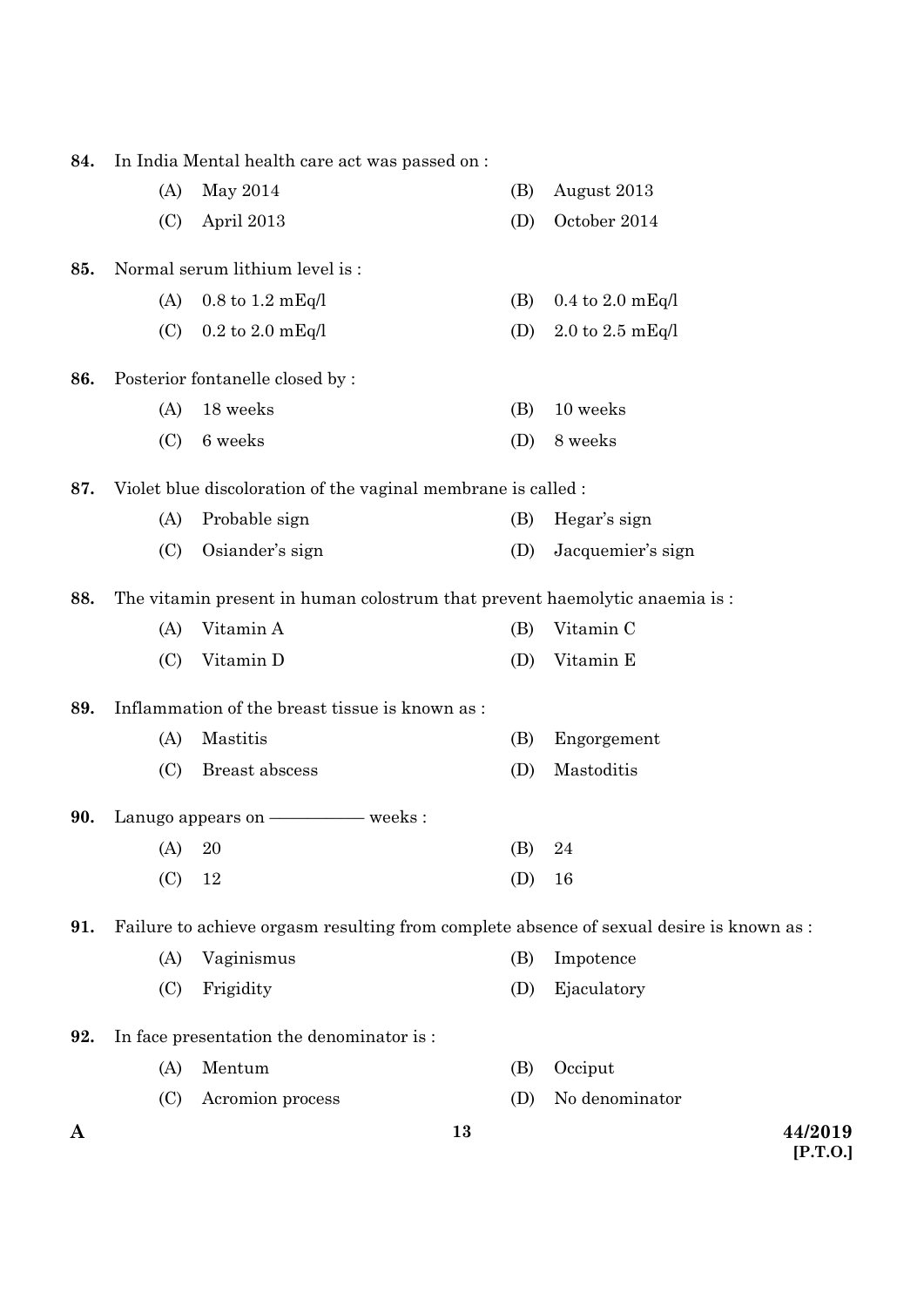| A   |                                                                            |                                                | 13         |                                                                                          | 44/2019 |  |
|-----|----------------------------------------------------------------------------|------------------------------------------------|------------|------------------------------------------------------------------------------------------|---------|--|
|     | (C)                                                                        | Acromion process                               | (D)        | No denominator                                                                           |         |  |
|     | (A)                                                                        | Mentum                                         | (B)        | Occiput                                                                                  |         |  |
| 92. |                                                                            | In face presentation the denominator is :      |            |                                                                                          |         |  |
|     | (C)                                                                        | Frigidity                                      | (D)        | Ejaculatory                                                                              |         |  |
|     | (A)                                                                        | Vaginismus                                     | (B)        | Impotence                                                                                |         |  |
| 91. |                                                                            |                                                |            | Failure to achieve orgasm resulting from complete absence of sexual desire is known as : |         |  |
|     | (C)                                                                        | 12                                             | (D)        | 16                                                                                       |         |  |
|     | (A) 20                                                                     |                                                | (B)        | 24                                                                                       |         |  |
| 90. |                                                                            |                                                |            |                                                                                          |         |  |
|     | (C)                                                                        | Breast abscess                                 | (D)        | Mastoditis                                                                               |         |  |
|     | (A)                                                                        | Mastitis                                       | (B)        | Engorgement                                                                              |         |  |
| 89. |                                                                            | Inflammation of the breast tissue is known as: |            |                                                                                          |         |  |
|     |                                                                            |                                                |            |                                                                                          |         |  |
|     | (C)                                                                        | Vitamin D                                      | (D)        | Vitamin E                                                                                |         |  |
|     | (A)                                                                        | Vitamin A                                      | (B)        | Vitamin C                                                                                |         |  |
| 88. | The vitamin present in human colostrum that prevent haemolytic anaemia is: |                                                |            |                                                                                          |         |  |
|     | (C)                                                                        | Osiander's sign                                | (D)        | Jacquemier's sign                                                                        |         |  |
|     | (A)                                                                        | Probable sign                                  | (B)        | Hegar's sign                                                                             |         |  |
| 87. | Violet blue discoloration of the vaginal membrane is called :              |                                                |            |                                                                                          |         |  |
|     | (C)                                                                        | 6 weeks                                        | (D)        | 8 weeks                                                                                  |         |  |
|     | (A)                                                                        | $18\,\, \mathrm{weeks}$                        | (B)        | 10 weeks                                                                                 |         |  |
| 86. | Posterior fontanelle closed by :                                           |                                                |            |                                                                                          |         |  |
|     |                                                                            | $0.2$ to $2.0$ mEq/l                           |            |                                                                                          |         |  |
|     | (A)<br>(C)                                                                 | $0.8$ to $1.2$ mEq/l                           | (B)<br>(D) | $0.4$ to $2.0$ mEq/l<br>$2.0$ to $2.5$ mEq/l                                             |         |  |
| 85. | Normal serum lithium level is:                                             |                                                |            |                                                                                          |         |  |
|     |                                                                            |                                                |            |                                                                                          |         |  |
|     | (C)                                                                        | April 2013                                     | (D)        | October 2014                                                                             |         |  |
|     | (A)                                                                        | May 2014                                       | (B)        | August 2013                                                                              |         |  |
| 84. | In India Mental health care act was passed on :                            |                                                |            |                                                                                          |         |  |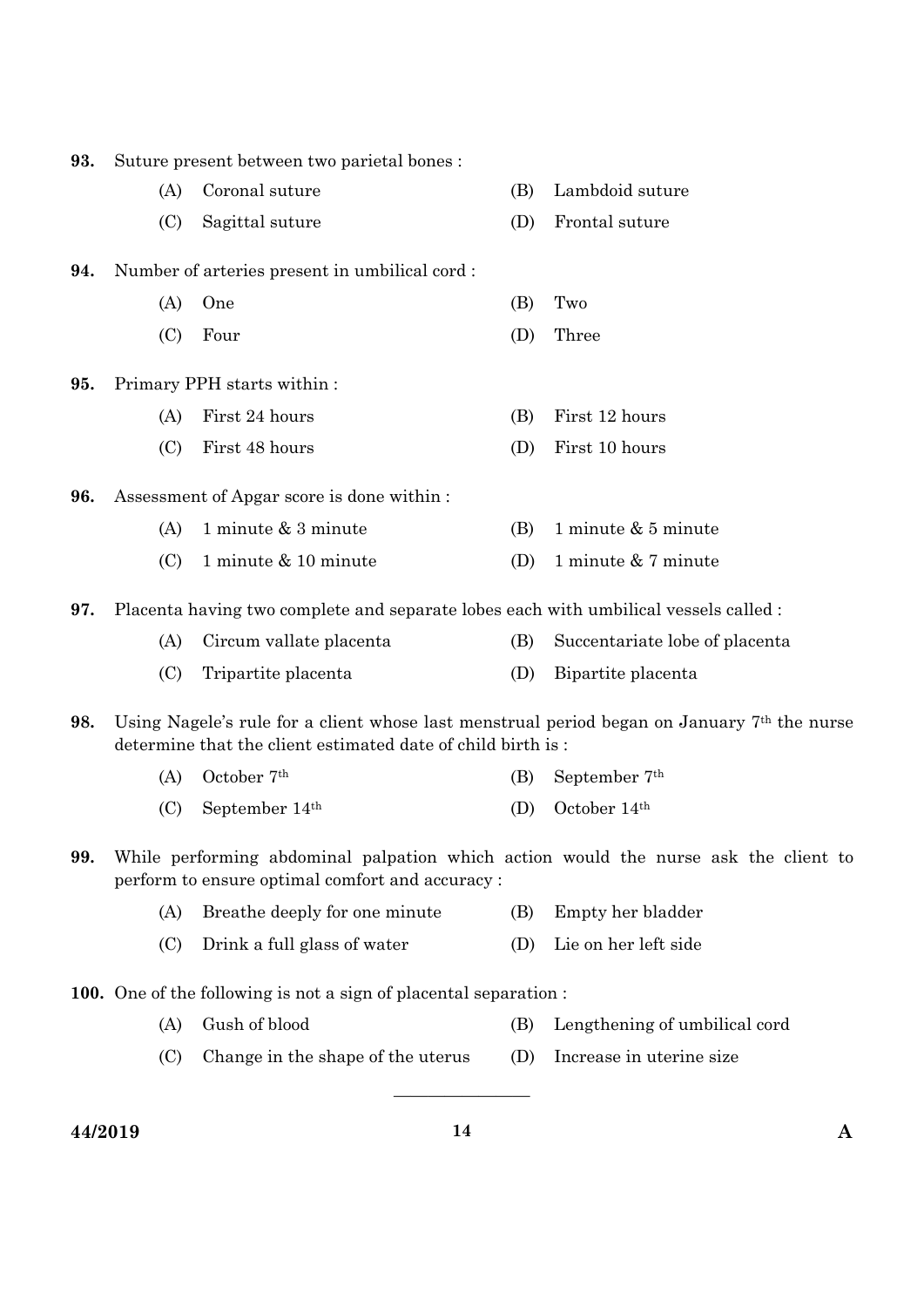| 93. | Suture present between two parietal bones:                                                                                                                              |                                   |     |                                |  |  |  |
|-----|-------------------------------------------------------------------------------------------------------------------------------------------------------------------------|-----------------------------------|-----|--------------------------------|--|--|--|
|     | (A)                                                                                                                                                                     | Coronal suture                    | (B) | Lambdoid suture                |  |  |  |
|     | (C)                                                                                                                                                                     | Sagittal suture                   | (D) | Frontal suture                 |  |  |  |
| 94. | Number of arteries present in umbilical cord:                                                                                                                           |                                   |     |                                |  |  |  |
|     | (A)                                                                                                                                                                     | One                               | (B) | Two                            |  |  |  |
|     | (C)                                                                                                                                                                     | Four                              | (D) | Three                          |  |  |  |
| 95. | Primary PPH starts within:                                                                                                                                              |                                   |     |                                |  |  |  |
|     | (A)                                                                                                                                                                     | First 24 hours                    | (B) | First 12 hours                 |  |  |  |
|     | (C)                                                                                                                                                                     | First 48 hours                    | (D) | First 10 hours                 |  |  |  |
| 96. | Assessment of Apgar score is done within :                                                                                                                              |                                   |     |                                |  |  |  |
|     | (A)                                                                                                                                                                     | 1 minute & 3 minute               | (B) | 1 minute $& 5$ minute          |  |  |  |
|     | (C)                                                                                                                                                                     | 1 minute & 10 minute              | (D) | 1 minute & 7 minute            |  |  |  |
| 97. | Placenta having two complete and separate lobes each with umbilical vessels called :                                                                                    |                                   |     |                                |  |  |  |
|     | (A)                                                                                                                                                                     | Circum vallate placenta           | (B) | Succentariate lobe of placenta |  |  |  |
|     | (C)                                                                                                                                                                     | Tripartite placenta               | (D) | Bipartite placenta             |  |  |  |
| 98. | Using Nagele's rule for a client whose last menstrual period began on January 7 <sup>th</sup> the nurse<br>determine that the client estimated date of child birth is : |                                   |     |                                |  |  |  |
|     | (A)                                                                                                                                                                     | October 7 <sup>th</sup>           | (B) | September 7 <sup>th</sup>      |  |  |  |
|     | (C)                                                                                                                                                                     | September 14 <sup>th</sup>        | (D) | October 14th                   |  |  |  |
| 99. | While performing abdominal palpation which action would the nurse ask the client to<br>perform to ensure optimal comfort and accuracy:                                  |                                   |     |                                |  |  |  |
|     | (A)                                                                                                                                                                     | Breathe deeply for one minute     | (B) | Empty her bladder              |  |  |  |
|     | (C)                                                                                                                                                                     | Drink a full glass of water       | (D) | Lie on her left side           |  |  |  |
|     | <b>100.</b> One of the following is not a sign of placental separation:                                                                                                 |                                   |     |                                |  |  |  |
|     | (A)                                                                                                                                                                     | Gush of blood                     | (B) | Lengthening of umbilical cord  |  |  |  |
|     | (C)                                                                                                                                                                     | Change in the shape of the uterus | (D) | Increase in uterine size       |  |  |  |
|     |                                                                                                                                                                         |                                   |     |                                |  |  |  |

**44/2019 14 A**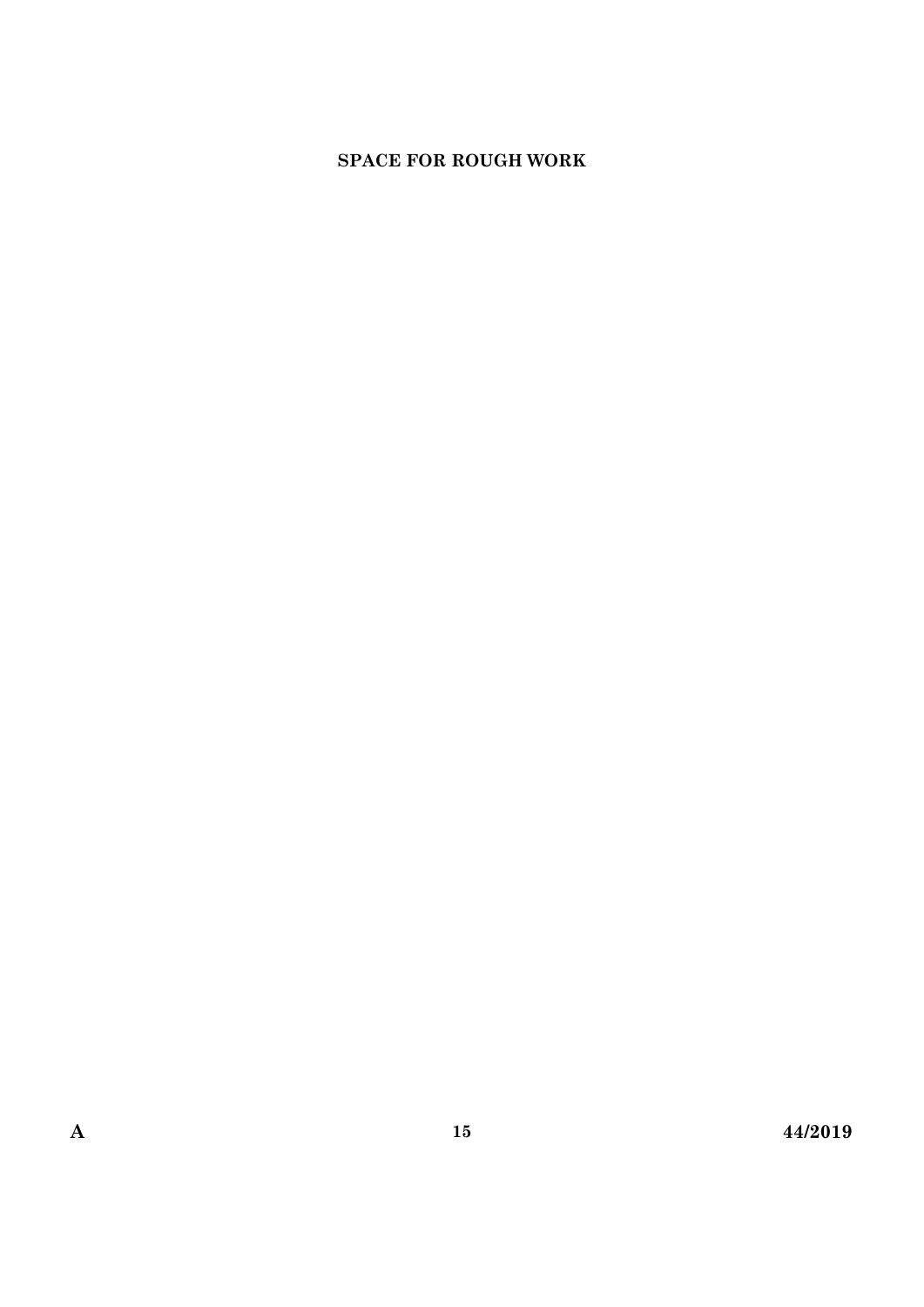## **SPACE FOR ROUGH WORK**

**15**

**A 44/2019**